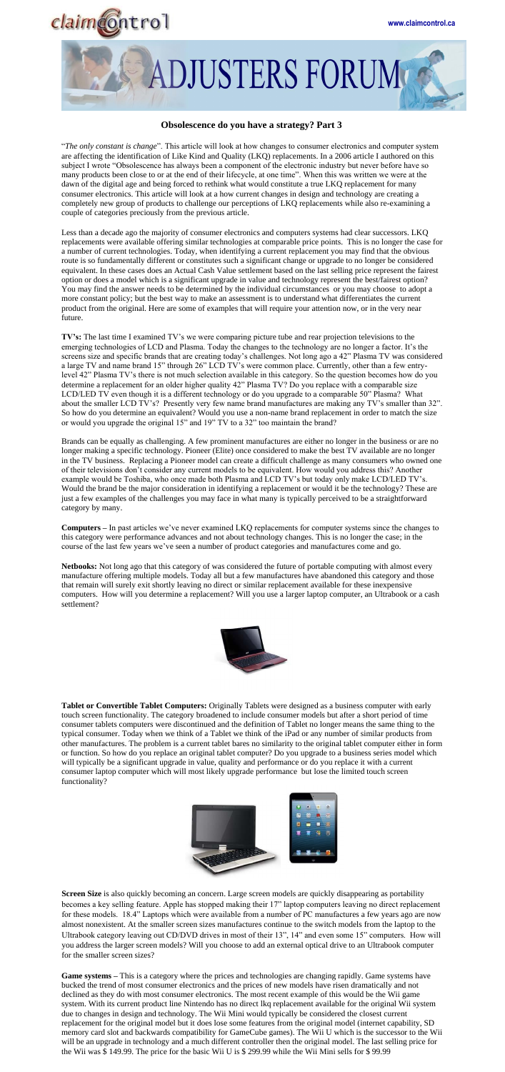



## **Obsolescence do you have a strategy? Part 3**

"*The only constant is change*". This article will look at how changes to consumer electronics and computer system are affecting the identification of Like Kind and Quality (LKQ) replacements. In a 2006 article I authored on this subject I wrote "Obsolescence has always been a component of the electronic industry but never before have so many products been close to or at the end of their lifecycle, at one time". When this was written we were at the dawn of the digital age and being forced to rethink what would constitute a true LKQ replacement for many consumer electronics. This article will look at a how current changes in design and technology are creating a completely new group of products to challenge our perceptions of LKQ replacements while also re-examining a couple of categories preciously from the previous article.

Less than a decade ago the majority of consumer electronics and computers systems had clear successors. LKQ replacements were available offering similar technologies at comparable price points. This is no longer the case for a number of current technologies. Today, when identifying a current replacement you may find that the obvious route is so fundamentally different or constitutes such a significant change or upgrade to no longer be considered equivalent. In these cases does an Actual Cash Value settlement based on the last selling price represent the fairest option or does a model which is a significant upgrade in value and technology represent the best/fairest option? You may find the answer needs to be determined by the individual circumstances or you may choose to adopt a more constant policy; but the best way to make an assessment is to understand what differentiates the current product from the original. Here are some of examples that will require your attention now, or in the very near future.

**TV's:** The last time I examined TV's we were comparing picture tube and rear projection televisions to the emerging technologies of LCD and Plasma. Today the changes to the technology are no longer a factor. It's the screens size and specific brands that are creating today's challenges. Not long ago a 42" Plasma TV was considered a large TV and name brand 15" through 26" LCD TV's were common place. Currently, other than a few entrylevel 42" Plasma TV's there is not much selection available in this category. So the question becomes how do you determine a replacement for an older higher quality 42" Plasma TV? Do you replace with a comparable size LCD/LED TV even though it is a different technology or do you upgrade to a comparable 50" Plasma? What about the smaller LCD TV's? Presently very few name brand manufactures are making any TV's smaller than 32". So how do you determine an equivalent? Would you use a non-name brand replacement in order to match the size or would you upgrade the original 15" and 19" TV to a 32" too maintain the brand?

**Screen Size** is also quickly becoming an concern. Large screen models are quickly disappearing as portability becomes a key selling feature. Apple has stopped making their 17" laptop computers leaving no direct replacement for these models. 18.4" Laptops which were available from a number of PC manufactures a few years ago are now almost nonexistent. At the smaller screen sizes manufactures continue to the switch models from the laptop to the Ultrabook category leaving out CD/DVD drives in most of their 13", 14" and even some 15" computers. How will you address the larger screen models? Will you choose to add an external optical drive to an Ultrabook computer for the smaller screen sizes?

Brands can be equally as challenging. A few prominent manufactures are either no longer in the business or are no longer making a specific technology. Pioneer (Elite) once considered to make the best TV available are no longer in the TV business. Replacing a Pioneer model can create a difficult challenge as many consumers who owned one of their televisions don't consider any current models to be equivalent. How would you address this? Another example would be Toshiba, who once made both Plasma and LCD TV's but today only make LCD/LED TV's. Would the brand be the major consideration in identifying a replacement or would it be the technology? These are just a few examples of the challenges you may face in what many is typically perceived to be a straightforward category by many.

**Computers –** In past articles we've never examined LKQ replacements for computer systems since the changes to this category were performance advances and not about technology changes. This is no longer the case; in the course of the last few years we've seen a number of product categories and manufactures come and go.

**Netbooks:** Not long ago that this category of was considered the future of portable computing with almost every manufacture offering multiple models. Today all but a few manufactures have abandoned this category and those that remain will surely exit shortly leaving no direct or similar replacement available for these inexpensive computers. How will you determine a replacement? Will you use a larger laptop computer, an Ultrabook or a cash settlement?



**Tablet or Convertible Tablet Computers:** Originally Tablets were designed as a business computer with early touch screen functionality. The category broadened to include consumer models but after a short period of time consumer tablets computers were discontinued and the definition of Tablet no longer means the same thing to the typical consumer. Today when we think of a Tablet we think of the iPad or any number of similar products from other manufactures. The problem is a current tablet bares no similarity to the original tablet computer either in form or function. So how do you replace an original tablet computer? Do you upgrade to a business series model which will typically be a significant upgrade in value, quality and performance or do you replace it with a current consumer laptop computer which will most likely upgrade performance but lose the limited touch screen functionality?



**Game systems –** This is a category where the prices and technologies are changing rapidly. Game systems have bucked the trend of most consumer electronics and the prices of new models have risen dramatically and not declined as they do with most consumer electronics. The most recent example of this would be the Wii game system. With its current product line Nintendo has no direct lkq replacement available for the original Wii system due to changes in design and technology. The Wii Mini would typically be considered the closest current replacement for the original model but it does lose some features from the original model (internet capability, SD memory card slot and backwards compatibility for GameCube games). The Wii U which is the successor to the Wii will be an upgrade in technology and a much different controller then the original model. The last selling price for the Wii was \$ 149.99. The price for the basic Wii U is \$ 299.99 while the Wii Mini sells for \$ 99.99